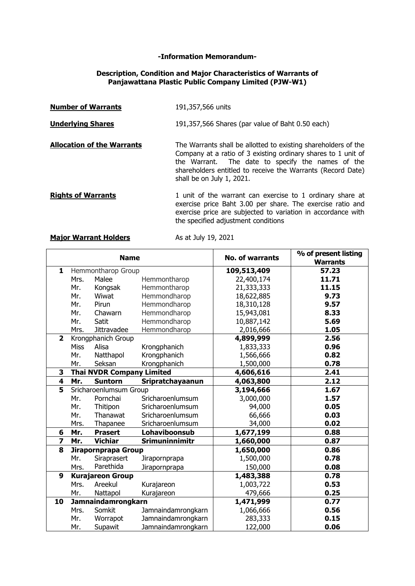### **-Information Memorandum-**

### **Description, Condition and Major Characteristics of Warrants of Panjawattana Plastic Public Company Limited (PJW-W1)**

| <b>Number of Warrants</b>         | 191,357,566 units                                                                                                                                                                                                                                                                |
|-----------------------------------|----------------------------------------------------------------------------------------------------------------------------------------------------------------------------------------------------------------------------------------------------------------------------------|
| <b>Underlying Shares</b>          | 191,357,566 Shares (par value of Baht 0.50 each)                                                                                                                                                                                                                                 |
| <b>Allocation of the Warrants</b> | The Warrants shall be allotted to existing shareholders of the<br>Company at a ratio of 3 existing ordinary shares to 1 unit of<br>the Warrant. The date to specify the names of the<br>shareholders entitled to receive the Warrants (Record Date)<br>shall be on July 1, 2021. |
| <b>Rights of Warrants</b>         | 1 unit of the warrant can exercise to 1 ordinary share at<br>exercise price Baht 3.00 per share. The exercise ratio and<br>exercise price are subjected to variation in accordance with<br>the specified adjustment conditions                                                   |

# **Major Warrant Holders** As at July 19, 2021

| <b>Name</b>             |                                  |                    |                       | <b>No. of warrants</b> | % of present listing<br><b>Warrants</b> |
|-------------------------|----------------------------------|--------------------|-----------------------|------------------------|-----------------------------------------|
| 1                       | Hemmontharop Group               |                    | 109,513,409           | 57.23                  |                                         |
|                         | Mrs.                             | Malee              | Hemmontharop          | 22,400,174             | 11.71                                   |
|                         | Mr.                              | Kongsak            | Hemmontharop          | 21,333,333             | 11.15                                   |
|                         | Mr.                              | Wiwat              | Hemmondharop          | 18,622,885             | 9.73                                    |
|                         | Mr.                              | Pirun              | Hemmondharop          | 18,310,128             | 9.57                                    |
|                         | Mr.                              | Chawarn            | Hemmondharop          | 15,943,081             | 8.33                                    |
|                         | Mr.                              | Satit              | Hemmondharop          | 10,887,142             | 5.69                                    |
|                         | Mrs.                             | <b>Jittravadee</b> | Hemmondharop          | 2,016,666              | 1.05                                    |
| $\overline{2}$          | Krongphanich Group               |                    | 4,899,999             | 2.56                   |                                         |
|                         | <b>Miss</b>                      | Alisa              | Krongphanich          | 1,833,333              | 0.96                                    |
|                         | Mr.                              | Natthapol          | Krongphanich          | 1,566,666              | 0.82                                    |
|                         | Mr.                              | Seksan             | Krongphanich          | 1,500,000              | 0.78                                    |
| 3                       | <b>Thai NVDR Company Limited</b> |                    |                       | 4,606,616              | 2.41                                    |
| $\overline{\mathbf{4}}$ | Mr.                              | <b>Suntorn</b>     | Sripratchayaanun      | 4,063,800              | 2.12                                    |
| 5                       | Sricharoenlumsum Group           |                    | 3,194,666             | 1.67                   |                                         |
|                         | Mr.                              | Pornchai           | Sricharoenlumsum      | 3,000,000              | 1.57                                    |
|                         | Mr.                              | Thitipon           | Sricharoenlumsum      | 94,000                 | 0.05                                    |
|                         | Mr.                              | Thanawat           | Sricharoenlumsum      | 66,666                 | 0.03                                    |
|                         | Mrs.                             | Thapanee           | Sricharoenlumsum      | 34,000                 | 0.02                                    |
| 6                       | Mr.                              | <b>Prasert</b>     | Lohaviboonsub         | 1,677,199              | 0.88                                    |
| $\overline{z}$          | Mr.                              | <b>Vichiar</b>     | <b>Srimuninnimitr</b> | 1,660,000              | 0.87                                    |
| 8                       | Jirapornprapa Group              |                    | 1,650,000             | 0.86                   |                                         |
|                         | Mr.                              | Siraprasert        | Jirapornprapa         | 1,500,000              | 0.78                                    |
|                         | Mrs.                             | Parethida          | Jirapornprapa         | 150,000                | 0.08                                    |
| 9                       | <b>Kurajareon Group</b>          |                    | 1,483,388             | 0.78                   |                                         |
|                         | Mrs.                             | Areekul            | Kurajareon            | 1,003,722              | 0.53                                    |
|                         | Mr.                              | Nattapol           | Kurajareon            | 479,666                | 0.25                                    |
| 10                      | Jamnaindamrongkarn               |                    | 1,471,999             | 0.77                   |                                         |
|                         | Mrs.                             | Somkit             | Jamnaindamrongkarn    | 1,066,666              | 0.56                                    |
|                         | Mr.                              | Worrapot           | Jamnaindamrongkarn    | 283,333                | 0.15                                    |
|                         | Mr.                              | Supawit            | Jamnaindamrongkarn    | 122,000                | 0.06                                    |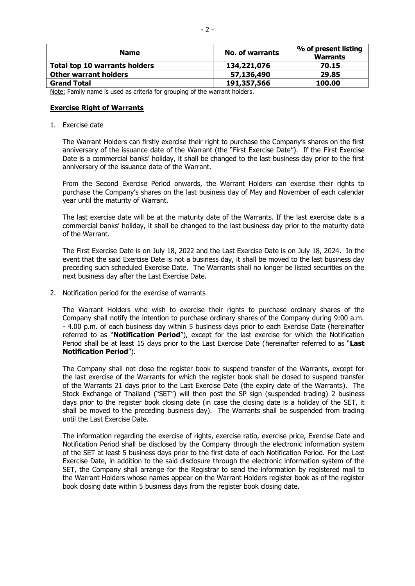| <b>Name</b>                          | No. of warrants | % of present listing<br><b>Warrants</b> |
|--------------------------------------|-----------------|-----------------------------------------|
| <b>Total top 10 warrants holders</b> | 134,221,076     | 70.15                                   |
| <b>Other warrant holders</b>         | 57,136,490      | 29.85                                   |
| <b>Grand Total</b>                   | 191,357,566     | 100.00                                  |

Note: Family name is used as criteria for grouping of the warrant holders.

### **Exercise Right of Warrants**

1. Exercise date

The Warrant Holders can firstly exercise their right to purchase the Company's shares on the first anniversary of the issuance date of the Warrant (the "First Exercise Date"). If the First Exercise Date is a commercial banks' holiday, it shall be changed to the last business day prior to the first anniversary of the issuance date of the Warrant.

From the Second Exercise Period onwards, the Warrant Holders can exercise their rights to purchase the Company's shares on the last business day of May and November of each calendar year until the maturity of Warrant.

The last exercise date will be at the maturity date of the Warrants. If the last exercise date is a commercial banks' holiday, it shall be changed to the last business day prior to the maturity date of the Warrant.

The First Exercise Date is on July 18, 2022 and the Last Exercise Date is on July 18, 2024. In the event that the said Exercise Date is not a business day, it shall be moved to the last business day preceding such scheduled Exercise Date. The Warrants shall no longer be listed securities on the next business day after the Last Exercise Date.

2. Notification period for the exercise of warrants

The Warrant Holders who wish to exercise their rights to purchase ordinary shares of the Company shall notify the intention to purchase ordinary shares of the Company during 9:00 a.m. - 4.00 p.m. of each business day within 5 business days prior to each Exercise Date (hereinafter referred to as "**Notification Period**"), except for the last exercise for which the Notification Period shall be at least 15 days prior to the Last Exercise Date (hereinafter referred to as "**Last Notification Period**").

The Company shall not close the register book to suspend transfer of the Warrants, except for the last exercise of the Warrants for which the register book shall be closed to suspend transfer of the Warrants 21 days prior to the Last Exercise Date (the expiry date of the Warrants). The Stock Exchange of Thailand ("SET") will then post the SP sign (suspended trading) 2 business days prior to the register book closing date (in case the closing date is a holiday of the SET, it shall be moved to the preceding business day). The Warrants shall be suspended from trading until the Last Exercise Date.

The information regarding the exercise of rights, exercise ratio, exercise price, Exercise Date and Notification Period shall be disclosed by the Company through the electronic information system of the SET at least 5 business days prior to the first date of each Notification Period. For the Last Exercise Date, in addition to the said disclosure through the electronic information system of the SET, the Company shall arrange for the Registrar to send the information by registered mail to the Warrant Holders whose names appear on the Warrant Holders register book as of the register book closing date within 5 business days from the register book closing date.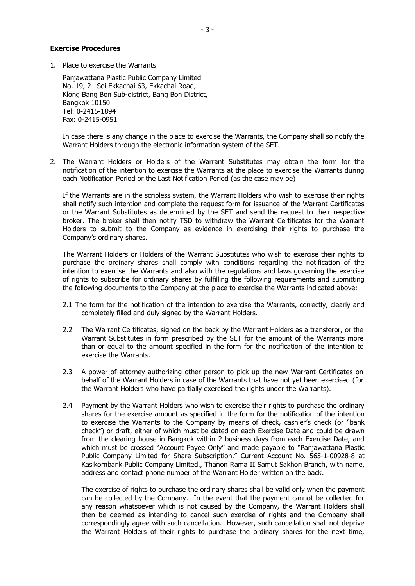#### **Exercise Procedures**

1. Place to exercise the Warrants

Panjawattana Plastic Public Company Limited No. 19, 21 Soi Ekkachai 63, Ekkachai Road, Klong Bang Bon Sub-district, Bang Bon District, Bangkok 10150 Tel: 0-2415-1894 Fax: 0-2415-0951

In case there is any change in the place to exercise the Warrants, the Company shall so notify the Warrant Holders through the electronic information system of the SET.

2. The Warrant Holders or Holders of the Warrant Substitutes may obtain the form for the notification of the intention to exercise the Warrants at the place to exercise the Warrants during each Notification Period or the Last Notification Period (as the case may be)

If the Warrants are in the scripless system, the Warrant Holders who wish to exercise their rights shall notify such intention and complete the request form for issuance of the Warrant Certificates or the Warrant Substitutes as determined by the SET and send the request to their respective broker. The broker shall then notify TSD to withdraw the Warrant Certificates for the Warrant Holders to submit to the Company as evidence in exercising their rights to purchase the Company's ordinary shares.

The Warrant Holders or Holders of the Warrant Substitutes who wish to exercise their rights to purchase the ordinary shares shall comply with conditions regarding the notification of the intention to exercise the Warrants and also with the regulations and laws governing the exercise of rights to subscribe for ordinary shares by fulfilling the following requirements and submitting the following documents to the Company at the place to exercise the Warrants indicated above:

- 2.1 The form for the notification of the intention to exercise the Warrants, correctly, clearly and completely filled and duly signed by the Warrant Holders.
- 2.2 The Warrant Certificates, signed on the back by the Warrant Holders as a transferor, or the Warrant Substitutes in form prescribed by the SET for the amount of the Warrants more than or equal to the amount specified in the form for the notification of the intention to exercise the Warrants.
- 2.3 A power of attorney authorizing other person to pick up the new Warrant Certificates on behalf of the Warrant Holders in case of the Warrants that have not yet been exercised (for the Warrant Holders who have partially exercised the rights under the Warrants).
- 2.4 Payment by the Warrant Holders who wish to exercise their rights to purchase the ordinary shares for the exercise amount as specified in the form for the notification of the intention to exercise the Warrants to the Company by means of check, cashier's check (or "bank check") or draft, either of which must be dated on each Exercise Date and could be drawn from the clearing house in Bangkok within 2 business days from each Exercise Date, and which must be crossed "Account Payee Only" and made payable to "Panjawattana Plastic Public Company Limited for Share Subscription," Current Account No. 565-1-00928-8 at Kasikornbank Public Company Limited., Thanon Rama II Samut Sakhon Branch, with name, address and contact phone number of the Warrant Holder written on the back.

The exercise of rights to purchase the ordinary shares shall be valid only when the payment can be collected by the Company. In the event that the payment cannot be collected for any reason whatsoever which is not caused by the Company, the Warrant Holders shall then be deemed as intending to cancel such exercise of rights and the Company shall correspondingly agree with such cancellation. However, such cancellation shall not deprive the Warrant Holders of their rights to purchase the ordinary shares for the next time,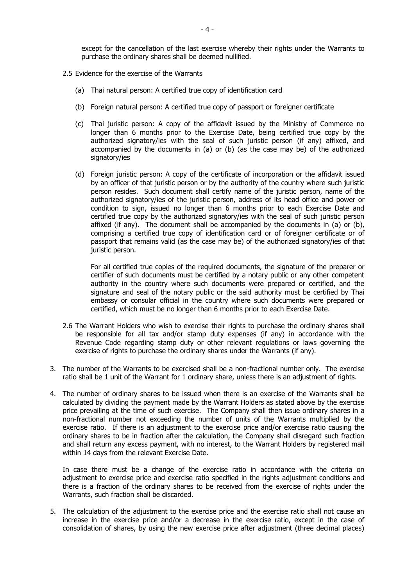except for the cancellation of the last exercise whereby their rights under the Warrants to purchase the ordinary shares shall be deemed nullified.

- 2.5 Evidence for the exercise of the Warrants
	- (a) Thai natural person: A certified true copy of identification card
	- (b) Foreign natural person: A certified true copy of passport or foreigner certificate
	- (c) Thai juristic person: A copy of the affidavit issued by the Ministry of Commerce no longer than 6 months prior to the Exercise Date, being certified true copy by the authorized signatory/ies with the seal of such juristic person (if any) affixed, and accompanied by the documents in (a) or (b) (as the case may be) of the authorized signatory/ies
	- (d) Foreign juristic person: A copy of the certificate of incorporation or the affidavit issued by an officer of that juristic person or by the authority of the country where such juristic person resides. Such document shall certify name of the juristic person, name of the authorized signatory/ies of the juristic person, address of its head office and power or condition to sign, issued no longer than 6 months prior to each Exercise Date and certified true copy by the authorized signatory/ies with the seal of such juristic person affixed (if any). The document shall be accompanied by the documents in (a) or (b), comprising a certified true copy of identification card or of foreigner certificate or of passport that remains valid (as the case may be) of the authorized signatory/ies of that juristic person.

For all certified true copies of the required documents, the signature of the preparer or certifier of such documents must be certified by a notary public or any other competent authority in the country where such documents were prepared or certified, and the signature and seal of the notary public or the said authority must be certified by Thai embassy or consular official in the country where such documents were prepared or certified, which must be no longer than 6 months prior to each Exercise Date.

- 2.6 The Warrant Holders who wish to exercise their rights to purchase the ordinary shares shall be responsible for all tax and/or stamp duty expenses (if any) in accordance with the Revenue Code regarding stamp duty or other relevant regulations or laws governing the exercise of rights to purchase the ordinary shares under the Warrants (if any).
- 3. The number of the Warrants to be exercised shall be a non-fractional number only. The exercise ratio shall be 1 unit of the Warrant for 1 ordinary share, unless there is an adjustment of rights.
- 4. The number of ordinary shares to be issued when there is an exercise of the Warrants shall be calculated by dividing the payment made by the Warrant Holders as stated above by the exercise price prevailing at the time of such exercise. The Company shall then issue ordinary shares in a non-fractional number not exceeding the number of units of the Warrants multiplied by the exercise ratio. If there is an adjustment to the exercise price and/or exercise ratio causing the ordinary shares to be in fraction after the calculation, the Company shall disregard such fraction and shall return any excess payment, with no interest, to the Warrant Holders by registered mail within 14 days from the relevant Exercise Date.

In case there must be a change of the exercise ratio in accordance with the criteria on adjustment to exercise price and exercise ratio specified in the rights adjustment conditions and there is a fraction of the ordinary shares to be received from the exercise of rights under the Warrants, such fraction shall be discarded.

5. The calculation of the adjustment to the exercise price and the exercise ratio shall not cause an increase in the exercise price and/or a decrease in the exercise ratio, except in the case of consolidation of shares, by using the new exercise price after adjustment (three decimal places)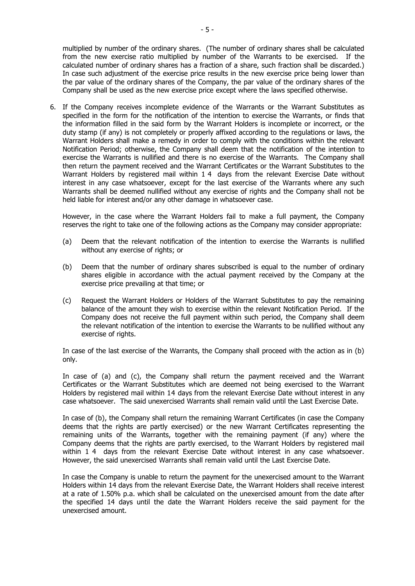multiplied by number of the ordinary shares. (The number of ordinary shares shall be calculated from the new exercise ratio multiplied by number of the Warrants to be exercised. If the calculated number of ordinary shares has a fraction of a share, such fraction shall be discarded.) In case such adjustment of the exercise price results in the new exercise price being lower than the par value of the ordinary shares of the Company, the par value of the ordinary shares of the Company shall be used as the new exercise price except where the laws specified otherwise.

6. If the Company receives incomplete evidence of the Warrants or the Warrant Substitutes as specified in the form for the notification of the intention to exercise the Warrants, or finds that the information filled in the said form by the Warrant Holders is incomplete or incorrect, or the duty stamp (if any) is not completely or properly affixed according to the regulations or laws, the Warrant Holders shall make a remedy in order to comply with the conditions within the relevant Notification Period; otherwise, the Company shall deem that the notification of the intention to exercise the Warrants is nullified and there is no exercise of the Warrants. The Company shall then return the payment received and the Warrant Certificates or the Warrant Substitutes to the Warrant Holders by registered mail within 1 4 days from the relevant Exercise Date without interest in any case whatsoever, except for the last exercise of the Warrants where any such Warrants shall be deemed nullified without any exercise of rights and the Company shall not be held liable for interest and/or any other damage in whatsoever case.

However, in the case where the Warrant Holders fail to make a full payment, the Company reserves the right to take one of the following actions as the Company may consider appropriate:

- (a) Deem that the relevant notification of the intention to exercise the Warrants is nullified without any exercise of rights; or
- (b) Deem that the number of ordinary shares subscribed is equal to the number of ordinary shares eligible in accordance with the actual payment received by the Company at the exercise price prevailing at that time; or
- (c) Request the Warrant Holders or Holders of the Warrant Substitutes to pay the remaining balance of the amount they wish to exercise within the relevant Notification Period. If the Company does not receive the full payment within such period, the Company shall deem the relevant notification of the intention to exercise the Warrants to be nullified without any exercise of rights.

In case of the last exercise of the Warrants, the Company shall proceed with the action as in (b) only.

In case of (a) and (c), the Company shall return the payment received and the Warrant Certificates or the Warrant Substitutes which are deemed not being exercised to the Warrant Holders by registered mail within 14 days from the relevant Exercise Date without interest in any case whatsoever. The said unexercised Warrants shall remain valid until the Last Exercise Date.

In case of (b), the Company shall return the remaining Warrant Certificates (in case the Company deems that the rights are partly exercised) or the new Warrant Certificates representing the remaining units of the Warrants, together with the remaining payment (if any) where the Company deems that the rights are partly exercised, to the Warrant Holders by registered mail within 1 4 days from the relevant Exercise Date without interest in any case whatsoever. However, the said unexercised Warrants shall remain valid until the Last Exercise Date.

In case the Company is unable to return the payment for the unexercised amount to the Warrant Holders within 14 days from the relevant Exercise Date, the Warrant Holders shall receive interest at a rate of 1.50% p.a. which shall be calculated on the unexercised amount from the date after the specified 14 days until the date the Warrant Holders receive the said payment for the unexercised amount.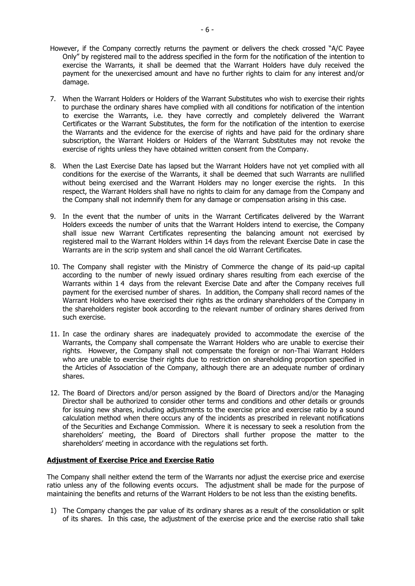- However, if the Company correctly returns the payment or delivers the check crossed "A/C Payee Only" by registered mail to the address specified in the form for the notification of the intention to exercise the Warrants, it shall be deemed that the Warrant Holders have duly received the payment for the unexercised amount and have no further rights to claim for any interest and/or damage.
- 7. When the Warrant Holders or Holders of the Warrant Substitutes who wish to exercise their rights to purchase the ordinary shares have complied with all conditions for notification of the intention to exercise the Warrants, i.e. they have correctly and completely delivered the Warrant Certificates or the Warrant Substitutes, the form for the notification of the intention to exercise the Warrants and the evidence for the exercise of rights and have paid for the ordinary share subscription, the Warrant Holders or Holders of the Warrant Substitutes may not revoke the exercise of rights unless they have obtained written consent from the Company.
- 8. When the Last Exercise Date has lapsed but the Warrant Holders have not yet complied with all conditions for the exercise of the Warrants, it shall be deemed that such Warrants are nullified without being exercised and the Warrant Holders may no longer exercise the rights. In this respect, the Warrant Holders shall have no rights to claim for any damage from the Company and the Company shall not indemnify them for any damage or compensation arising in this case.
- 9. In the event that the number of units in the Warrant Certificates delivered by the Warrant Holders exceeds the number of units that the Warrant Holders intend to exercise, the Company shall issue new Warrant Certificates representing the balancing amount not exercised by registered mail to the Warrant Holders within 14 days from the relevant Exercise Date in case the Warrants are in the scrip system and shall cancel the old Warrant Certificates.
- 10. The Company shall register with the Ministry of Commerce the change of its paid-up capital according to the number of newly issued ordinary shares resulting from each exercise of the Warrants within 14 days from the relevant Exercise Date and after the Company receives full payment for the exercised number of shares. In addition, the Company shall record names of the Warrant Holders who have exercised their rights as the ordinary shareholders of the Company in the shareholders register book according to the relevant number of ordinary shares derived from such exercise.
- 11. In case the ordinary shares are inadequately provided to accommodate the exercise of the Warrants, the Company shall compensate the Warrant Holders who are unable to exercise their rights. However, the Company shall not compensate the foreign or non-Thai Warrant Holders who are unable to exercise their rights due to restriction on shareholding proportion specified in the Articles of Association of the Company, although there are an adequate number of ordinary shares.
- 12. The Board of Directors and/or person assigned by the Board of Directors and/or the Managing Director shall be authorized to consider other terms and conditions and other details or grounds for issuing new shares, including adjustments to the exercise price and exercise ratio by a sound calculation method when there occurs any of the incidents as prescribed in relevant notifications of the Securities and Exchange Commission. Where it is necessary to seek a resolution from the shareholders' meeting, the Board of Directors shall further propose the matter to the shareholders' meeting in accordance with the regulations set forth.

## **Adjustment of Exercise Price and Exercise Ratio**

The Company shall neither extend the term of the Warrants nor adjust the exercise price and exercise ratio unless any of the following events occurs. The adjustment shall be made for the purpose of maintaining the benefits and returns of the Warrant Holders to be not less than the existing benefits.

1) The Company changes the par value of its ordinary shares as a result of the consolidation or split of its shares. In this case, the adjustment of the exercise price and the exercise ratio shall take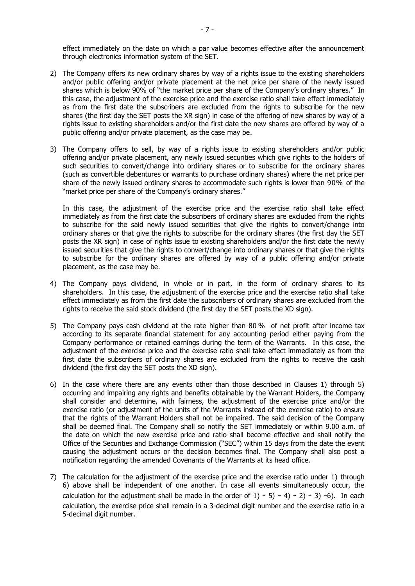effect immediately on the date on which a par value becomes effective after the announcement through electronics information system of the SET.

- 2) The Company offers its new ordinary shares by way of a rights issue to the existing shareholders and/or public offering and/or private placement at the net price per share of the newly issued shares which is below 90% of "the market price per share of the Company's ordinary shares." In this case, the adjustment of the exercise price and the exercise ratio shall take effect immediately as from the first date the subscribers are excluded from the rights to subscribe for the new shares (the first day the SET posts the XR sign) in case of the offering of new shares by way of a rights issue to existing shareholders and/or the first date the new shares are offered by way of a public offering and/or private placement, as the case may be.
- 3) The Company offers to sell, by way of a rights issue to existing shareholders and/or public offering and/or private placement, any newly issued securities which give rights to the holders of such securities to convert/change into ordinary shares or to subscribe for the ordinary shares (such as convertible debentures or warrants to purchase ordinary shares) where the net price per share of the newly issued ordinary shares to accommodate such rights is lower than 90% of the "market price per share of the Company's ordinary shares."

In this case, the adjustment of the exercise price and the exercise ratio shall take effect immediately as from the first date the subscribers of ordinary shares are excluded from the rights to subscribe for the said newly issued securities that give the rights to convert/change into ordinary shares or that give the rights to subscribe for the ordinary shares (the first day the SET posts the XR sign) in case of rights issue to existing shareholders and/or the first date the newly issued securities that give the rights to convert/change into ordinary shares or that give the rights to subscribe for the ordinary shares are offered by way of a public offering and/or private placement, as the case may be.

- 4) The Company pays dividend, in whole or in part, in the form of ordinary shares to its shareholders. In this case, the adjustment of the exercise price and the exercise ratio shall take effect immediately as from the first date the subscribers of ordinary shares are excluded from the rights to receive the said stock dividend (the first day the SET posts the XD sign).
- 5) The Company pays cash dividend at the rate higher than 80 % of net profit after income tax according to its separate financial statement for any accounting period either paying from the Company performance or retained earnings during the term of the Warrants. In this case, the adjustment of the exercise price and the exercise ratio shall take effect immediately as from the first date the subscribers of ordinary shares are excluded from the rights to receive the cash dividend (the first day the SET posts the XD sign).
- 6) In the case where there are any events other than those described in Clauses 1) through 5) occurring and impairing any rights and benefits obtainable by the Warrant Holders, the Company shall consider and determine, with fairness, the adjustment of the exercise price and/or the exercise ratio (or adjustment of the units of the Warrants instead of the exercise ratio) to ensure that the rights of the Warrant Holders shall not be impaired. The said decision of the Company shall be deemed final. The Company shall so notify the SET immediately or within 9.00 a.m. of the date on which the new exercise price and ratio shall become effective and shall notify the Office of the Securities and Exchange Commission ("SEC") within 15 days from the date the event causing the adjustment occurs or the decision becomes final. The Company shall also post a notification regarding the amended Covenants of the Warrants at its head office.
- 7) The calculation for the adjustment of the exercise price and the exercise ratio under 1) through 6) above shall be independent of one another. In case all events simultaneously occur, the calculation for the adjustment shall be made in the order of  $1)$  + 5) + 4) + 2) + 3) +6). In each calculation, the exercise price shall remain in a 3-decimal digit number and the exercise ratio in a 5-decimal digit number.